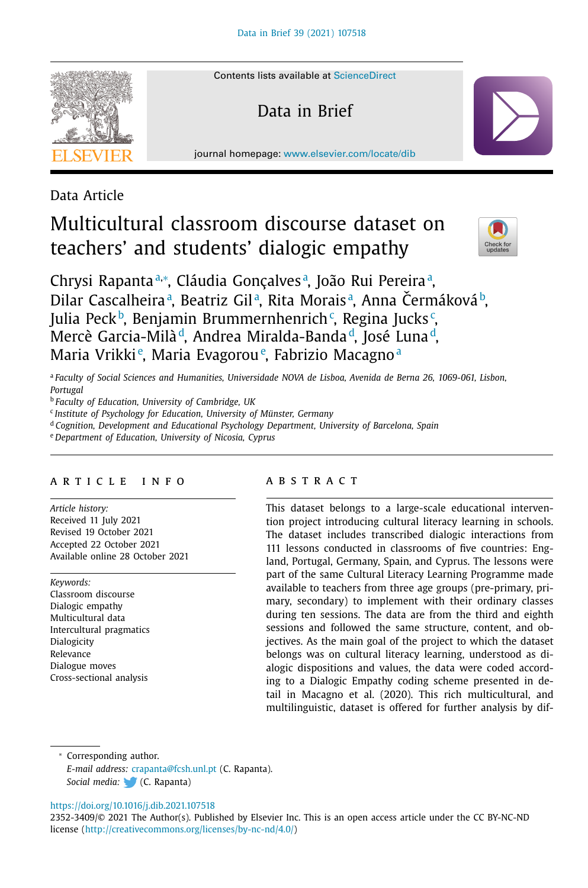

Contents lists available at [ScienceDirect](http://www.ScienceDirect.com)

Data in Brief

journal homepage: [www.elsevier.com/locate/dib](http://www.elsevier.com/locate/dib)

Data Article

# Multicultural classroom discourse dataset on teachers' and students' dialogic empathy



Chrysi Rapantaª,\*, Cláudia Gonçalvesª, João Rui Pereiraª, Dilar Cascalheiraª, Beatriz Gilª, Rita Moraisª, Anna Čermákováʰ, Julia Peck<sup>b</sup>, Benjamin Brummernhenrich¢, Regina Jucks¢, Mercè Garcia-Milà<sup>d</sup>, Andrea Miralda-Banda<sup>d</sup>, José Luna<sup>d</sup>, Maria Vrikki<sup>e</sup>, Maria Evagorou<sup>e</sup>, Fabrizio Macagno<sup>a</sup>

<sup>a</sup> *Faculty of Social Sciences and Humanities, Universidade NOVA de Lisboa, Avenida de Berna 26, 1069-061, Lisbon, Portugal*

<sup>b</sup> *Faculty of Education, University of Cambridge, UK*

<sup>c</sup> *Institute of Psychology for Education, University of Münster, Germany*

<sup>d</sup> *Cognition, Development and Educational Psychology Department, University of Barcelona, Spain*

<sup>e</sup> *Department of Education, University of Nicosia, Cyprus*

# a r t i c l e i n f o

*Article history:* Received 11 July 2021 Revised 19 October 2021 Accepted 22 October 2021 Available online 28 October 2021

*Keywords:*

Classroom discourse Dialogic empathy Multicultural data Intercultural pragmatics Dialogicity Relevance Dialogue moves Cross-sectional analysis

#### A B S T R A C T

This dataset belongs to a large-scale educational intervention project introducing cultural literacy learning in schools. The dataset includes transcribed dialogic interactions from 111 lessons conducted in classrooms of five countries: England, Portugal, Germany, Spain, and Cyprus. The lessons were part of the same Cultural Literacy Learning Programme made available to teachers from three age groups (pre-primary, primary, secondary) to implement with their ordinary classes during ten sessions. The data are from the third and eighth sessions and followed the same structure, content, and objectives. As the main goal of the project to which the dataset belongs was on cultural literacy learning, understood as dialogic dispositions and values, the data were coded according to a Dialogic Empathy coding scheme presented in detail in Macagno et al. (2020). This rich multicultural, and multilinguistic, dataset is offered for further analysis by dif-

<sup>∗</sup> Corresponding author. *E-mail address:* [crapanta@fcsh.unl.pt](mailto:crapanta@fcsh.unl.pt) (C. Rapanta). *Social media:* (C. Rapanta)

<https://doi.org/10.1016/j.dib.2021.107518>

2352-3409/© 2021 The Author(s). Published by Elsevier Inc. This is an open access article under the CC BY-NC-ND license [\(http://creativecommons.org/licenses/by-nc-nd/4.0/\)](http://creativecommons.org/licenses/by-nc-nd/4.0/)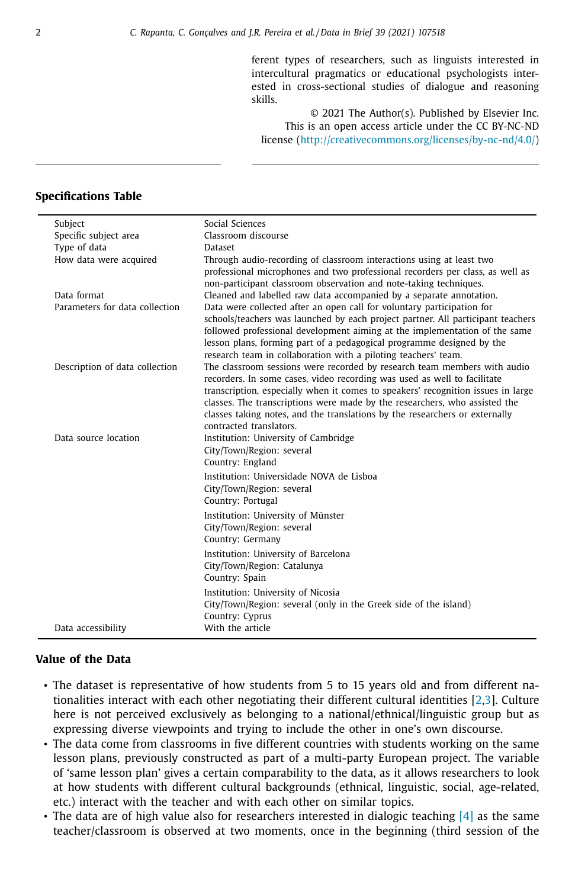ferent types of researchers, such as linguists interested in intercultural pragmatics or educational psychologists interested in cross-sectional studies of dialogue and reasoning skills.

© 2021 The Author(s). Published by Elsevier Inc. This is an open access article under the CC BY-NC-ND license [\(http://creativecommons.org/licenses/by-nc-nd/4.0/\)](http://creativecommons.org/licenses/by-nc-nd/4.0/)

# **Specifications Table**

| Subject                        | Social Sciences                                                                                                                                                                                                                                                                                                                                                                                                                  |
|--------------------------------|----------------------------------------------------------------------------------------------------------------------------------------------------------------------------------------------------------------------------------------------------------------------------------------------------------------------------------------------------------------------------------------------------------------------------------|
| Specific subject area          | Classroom discourse                                                                                                                                                                                                                                                                                                                                                                                                              |
| Type of data                   | <b>Dataset</b>                                                                                                                                                                                                                                                                                                                                                                                                                   |
| How data were acquired         | Through audio-recording of classroom interactions using at least two<br>professional microphones and two professional recorders per class, as well as<br>non-participant classroom observation and note-taking techniques.                                                                                                                                                                                                       |
| Data format                    | Cleaned and labelled raw data accompanied by a separate annotation.                                                                                                                                                                                                                                                                                                                                                              |
| Parameters for data collection | Data were collected after an open call for voluntary participation for<br>schools/teachers was launched by each project partner. All participant teachers<br>followed professional development aiming at the implementation of the same<br>lesson plans, forming part of a pedagogical programme designed by the<br>research team in collaboration with a piloting teachers' team.                                               |
| Description of data collection | The classroom sessions were recorded by research team members with audio<br>recorders. In some cases, video recording was used as well to facilitate<br>transcription, especially when it comes to speakers' recognition issues in large<br>classes. The transcriptions were made by the researchers, who assisted the<br>classes taking notes, and the translations by the researchers or externally<br>contracted translators. |
| Data source location           | Institution: University of Cambridge<br>City/Town/Region: several<br>Country: England                                                                                                                                                                                                                                                                                                                                            |
|                                | Institution: Universidade NOVA de Lisboa<br>City/Town/Region: several<br>Country: Portugal                                                                                                                                                                                                                                                                                                                                       |
|                                | Institution: University of Münster<br>City/Town/Region: several<br>Country: Germany                                                                                                                                                                                                                                                                                                                                              |
|                                | Institution: University of Barcelona<br>City/Town/Region: Catalunya<br>Country: Spain                                                                                                                                                                                                                                                                                                                                            |
|                                | Institution: University of Nicosia<br>City/Town/Region: several (only in the Greek side of the island)<br>Country: Cyprus                                                                                                                                                                                                                                                                                                        |
| Data accessibility             | With the article                                                                                                                                                                                                                                                                                                                                                                                                                 |

# **Value of the Data**

- The dataset is representative of how students from 5 to 15 years old and from different nationalities interact with each other negotiating their different cultural identities [\[2,3\]](#page-5-0). Culture here is not perceived exclusively as belonging to a national/ethnical/linguistic group but as expressing diverse viewpoints and trying to include the other in one's own discourse.
- The data come from classrooms in five different countries with students working on the same lesson plans, previously constructed as part of a multi-party European project. The variable of 'same lesson plan' gives a certain comparability to the data, as it allows researchers to look at how students with different cultural backgrounds (ethnical, linguistic, social, age-related, etc.) interact with the teacher and with each other on similar topics.
- The data are of high value also for researchers interested in dialogic teaching  $[4]$  as the same teacher/classroom is observed at two moments, once in the beginning (third session of the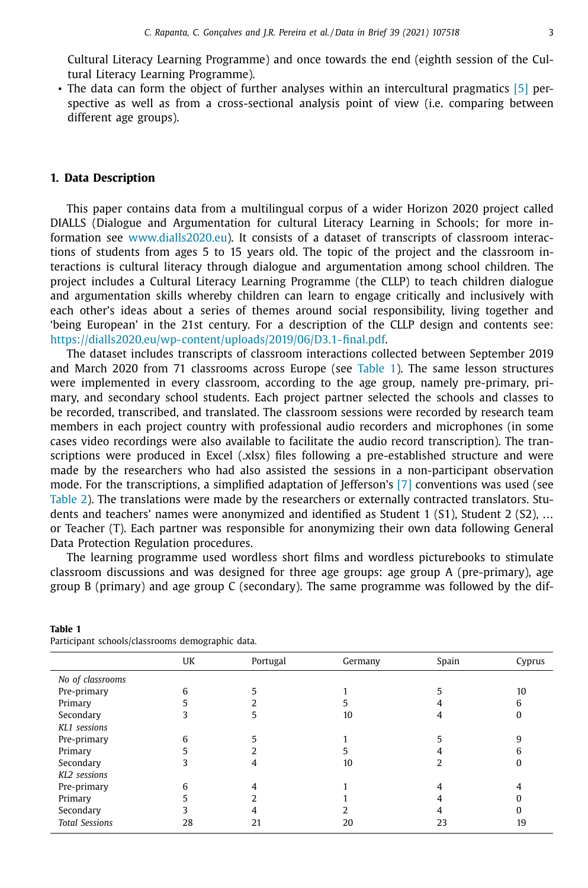<span id="page-2-0"></span>Cultural Literacy Learning Programme) and once towards the end (eighth session of the Cultural Literacy Learning Programme).

• The data can form the object of further analyses within an intercultural pragmatics [\[5\]](#page-5-0) perspective as well as from a cross-sectional analysis point of view (i.e. comparing between different age groups).

# **1. Data Description**

This paper contains data from a multilingual corpus of a wider Horizon 2020 project called DIALLS (Dialogue and Argumentation for cultural Literacy Learning in Schools; for more information see [www.dialls2020.eu\)](http://www.dialls2020.eu). It consists of a dataset of transcripts of classroom interactions of students from ages 5 to 15 years old. The topic of the project and the classroom interactions is cultural literacy through dialogue and argumentation among school children. The project includes a Cultural Literacy Learning Programme (the CLLP) to teach children dialogue and argumentation skills whereby children can learn to engage critically and inclusively with each other's ideas about a series of themes around social responsibility, living together and 'being European' in the 21st century. For a description of the CLLP design and contents see: [https://dialls2020.eu/wp-content/uploads/2019/06/D3.1-final.pdf.](https://dialls2020.eu/wp-content/uploads/2019/06/D3.1-final.pdf)

The dataset includes transcripts of classroom interactions collected between September 2019 and March 2020 from 71 classrooms across Europe (see Table 1). The same lesson structures were implemented in every classroom, according to the age group, namely pre-primary, primary, and secondary school students. Each project partner selected the schools and classes to be recorded, transcribed, and translated. The classroom sessions were recorded by research team members in each project country with professional audio recorders and microphones (in some cases video recordings were also available to facilitate the audio record transcription). The transcriptions were produced in Excel (.xlsx) files following a pre-established structure and were made by the researchers who had also assisted the sessions in a non-participant observation mode. For the transcriptions, a simplified adaptation of Jefferson's  $[7]$  conventions was used (see [Table](#page-3-0) 2). The translations were made by the researchers or externally contracted translators. Students and teachers' names were anonymized and identified as Student 1 (S1), Student 2 (S2), … or Teacher (T). Each partner was responsible for anonymizing their own data following General Data Protection Regulation procedures.

The learning programme used wordless short films and wordless picturebooks to stimulate classroom discussions and was designed for three age groups: age group A (pre-primary), age group B (primary) and age group C (secondary). The same programme was followed by the dif-

|                       | UK | Portugal | Germany | Spain | Cyprus |
|-----------------------|----|----------|---------|-------|--------|
| No of classrooms      |    |          |         |       |        |
| Pre-primary           | h  |          |         |       | 10     |
| Primary               |    |          |         |       |        |
| Secondary             |    |          | 10      |       |        |
| KL1 sessions          |    |          |         |       |        |
| Pre-primary           |    |          |         |       |        |
| Primary               |    |          |         |       |        |
| Secondary             |    | 4        | 10      |       |        |
| KL2 sessions          |    |          |         |       |        |
| Pre-primary           |    |          |         |       |        |
| Primary               |    |          |         |       |        |
| Secondary             |    |          |         |       |        |
| <b>Total Sessions</b> | 28 | 21       | 20      | 23    | 19     |
|                       |    |          |         |       |        |

Participant schools/classrooms demographic data.

**Table 1**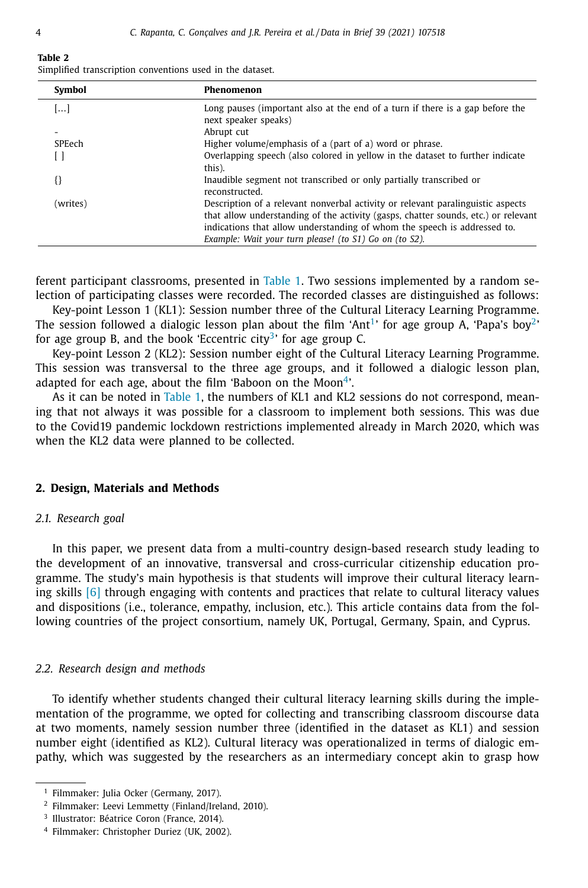<span id="page-3-0"></span>**Table 2**

|  | Simplified transcription conventions used in the dataset. |  |  |  |  |
|--|-----------------------------------------------------------|--|--|--|--|
|--|-----------------------------------------------------------|--|--|--|--|

| Symbol          | Phenomenon                                                                                                                                                                                                                                        |
|-----------------|---------------------------------------------------------------------------------------------------------------------------------------------------------------------------------------------------------------------------------------------------|
| $[\dots]$       | Long pauses (important also at the end of a turn if there is a gap before the<br>next speaker speaks)                                                                                                                                             |
| $\qquad \qquad$ | Abrupt cut                                                                                                                                                                                                                                        |
| SPEech          | Higher volume/emphasis of a (part of a) word or phrase.                                                                                                                                                                                           |
|                 | Overlapping speech (also colored in yellow in the dataset to further indicate<br>this).                                                                                                                                                           |
|                 | Inaudible segment not transcribed or only partially transcribed or<br>reconstructed.                                                                                                                                                              |
| (writes)        | Description of a relevant nonverbal activity or relevant paralinguistic aspects<br>that allow understanding of the activity (gasps, chatter sounds, etc.) or relevant<br>indications that allow understanding of whom the speech is addressed to. |
|                 | Example: Wait your turn please! (to S1) Go on (to S2).                                                                                                                                                                                            |

ferent participant classrooms, presented in [Table](#page-2-0) 1. Two sessions implemented by a random selection of participating classes were recorded. The recorded classes are distinguished as follows:

Key-point Lesson 1 (KL1): Session number three of the Cultural Literacy Learning Programme. The session followed a dialogic lesson plan about the film 'Ant<sup>1</sup>' for age group A, 'Papa's boy<sup>2</sup>' for age group B, and the book 'Eccentric city<sup>3</sup>' for age group C.

Key-point Lesson 2 (KL2): Session number eight of the Cultural Literacy Learning Programme. This session was transversal to the three age groups, and it followed a dialogic lesson plan, adapted for each age, about the film 'Baboon on the Moon $4$ '.

As it can be noted in [Table](#page-2-0) 1, the numbers of KL1 and KL2 sessions do not correspond, meaning that not always it was possible for a classroom to implement both sessions. This was due to the Covid19 pandemic lockdown restrictions implemented already in March 2020, which was when the KL2 data were planned to be collected.

#### **2. Design, Materials and Methods**

#### *2.1. Research goal*

In this paper, we present data from a multi-country design-based research study leading to the development of an innovative, transversal and cross-curricular citizenship education programme. The study's main hypothesis is that students will improve their cultural literacy learning skills [\[6\]](#page-5-0) through engaging with contents and practices that relate to cultural literacy values and dispositions (i.e., tolerance, empathy, inclusion, etc.). This article contains data from the following countries of the project consortium, namely UK, Portugal, Germany, Spain, and Cyprus.

#### *2.2. Research design and methods*

To identify whether students changed their cultural literacy learning skills during the implementation of the programme, we opted for collecting and transcribing classroom discourse data at two moments, namely session number three (identified in the dataset as KL1) and session number eight (identified as KL2). Cultural literacy was operationalized in terms of dialogic empathy, which was suggested by the researchers as an intermediary concept akin to grasp how

<sup>&</sup>lt;sup>1</sup> Filmmaker: Julia Ocker (Germany, 2017).

<sup>2</sup> Filmmaker: Leevi Lemmetty (Finland/Ireland, 2010).

<sup>&</sup>lt;sup>3</sup> Illustrator: Béatrice Coron (France, 2014).

<sup>4</sup> Filmmaker: Christopher Duriez (UK, 2002).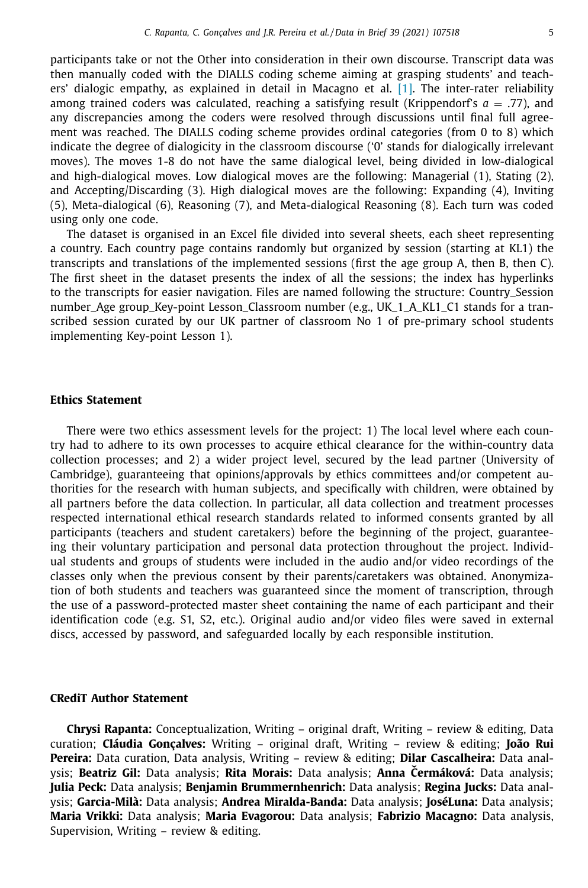participants take or not the Other into consideration in their own discourse. Transcript data was then manually coded with the DIALLS coding scheme aiming at grasping students' and teachers' dialogic empathy, as explained in detail in Macagno et al. [\[1\].](#page-5-0) The inter-rater reliability among trained coders was calculated, reaching a satisfying result (Krippendorf's  $a = .77$ ), and any discrepancies among the coders were resolved through discussions until final full agreement was reached. The DIALLS coding scheme provides ordinal categories (from 0 to 8) which indicate the degree of dialogicity in the classroom discourse ('0' stands for dialogically irrelevant moves). The moves 1-8 do not have the same dialogical level, being divided in low-dialogical and high-dialogical moves. Low dialogical moves are the following: Managerial (1), Stating (2), and Accepting/Discarding (3). High dialogical moves are the following: Expanding (4), Inviting (5), Meta-dialogical (6), Reasoning (7), and Meta-dialogical Reasoning (8). Each turn was coded using only one code.

The dataset is organised in an Excel file divided into several sheets, each sheet representing a country. Each country page contains randomly but organized by session (starting at KL1) the transcripts and translations of the implemented sessions (first the age group A, then B, then C). The first sheet in the dataset presents the index of all the sessions; the index has hyperlinks to the transcripts for easier navigation. Files are named following the structure: Country\_Session number\_Age group\_Key-point Lesson\_Classroom number (e.g., UK\_1\_A\_KL1\_C1 stands for a transcribed session curated by our UK partner of classroom No 1 of pre-primary school students implementing Key-point Lesson 1).

# **Ethics Statement**

There were two ethics assessment levels for the project: 1) The local level where each country had to adhere to its own processes to acquire ethical clearance for the within-country data collection processes; and 2) a wider project level, secured by the lead partner (University of Cambridge), guaranteeing that opinions/approvals by ethics committees and/or competent authorities for the research with human subjects, and specifically with children, were obtained by all partners before the data collection. In particular, all data collection and treatment processes respected international ethical research standards related to informed consents granted by all participants (teachers and student caretakers) before the beginning of the project, guaranteeing their voluntary participation and personal data protection throughout the project. Individual students and groups of students were included in the audio and/or video recordings of the classes only when the previous consent by their parents/caretakers was obtained. Anonymization of both students and teachers was guaranteed since the moment of transcription, through the use of a password-protected master sheet containing the name of each participant and their identification code (e.g. S1, S2, etc.). Original audio and/or video files were saved in external discs, accessed by password, and safeguarded locally by each responsible institution.

#### **CRediT Author Statement**

**Chrysi Rapanta:** Conceptualization, Writing – original draft, Writing – review & editing, Data curation; **Cláudia Gonçalves:** Writing – original draft, Writing – review & editing; **João Rui Pereira:** Data curation, Data analysis, Writing – review & editing; **Dilar Cascalheira:** Data analysis; **Beatriz Gil:** Data analysis; **Rita Morais:** Data analysis; **Anna Cermáková: ˇ** Data analysis; **Julia Peck:** Data analysis; **Benjamin Brummernhenrich:** Data analysis; **Regina Jucks:** Data analysis; **Garcia-Milà:** Data analysis; **Andrea Miralda-Banda:** Data analysis; **JoséLuna:** Data analysis; **Maria Vrikki:** Data analysis; **Maria Evagorou:** Data analysis; **Fabrizio Macagno:** Data analysis, Supervision, Writing – review & editing.